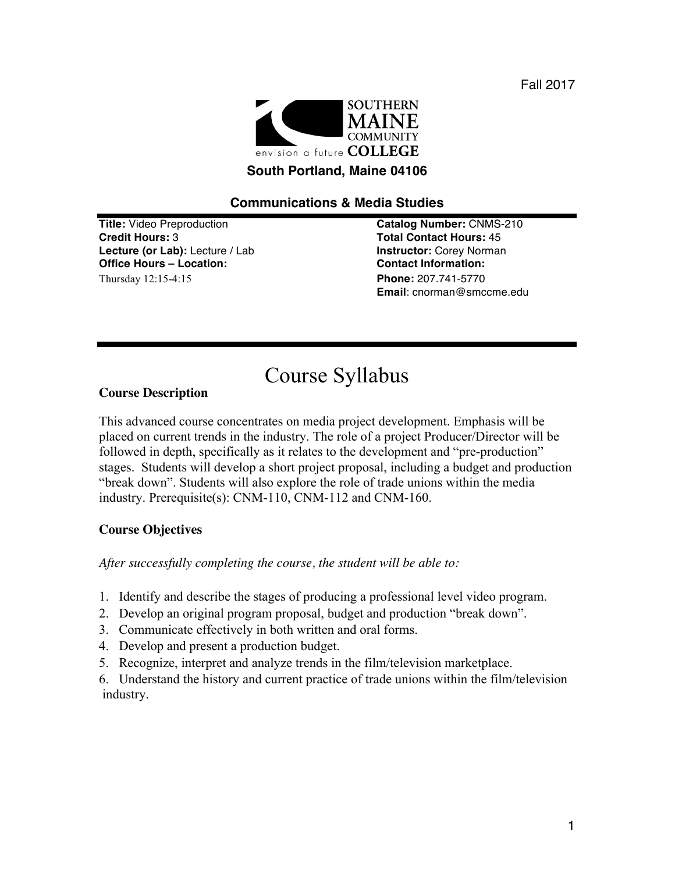Fall 2017



# **Communications & Media Studies**

**Credit Hours:** 3 **Total Contact Hours:** 45 **Lecture (or Lab):** Lecture / Lab **Instructor:** Corey Norman **Office Hours – Location: Contact Information:**  Thursday 12:15-4:15 **Phone:** 207.741-5770

**Title:** Video Preproduction **Catalog Number:** CNMS-210 **Email**: cnorman@smccme.edu

# Course Syllabus

#### **Course Description**

This advanced course concentrates on media project development. Emphasis will be placed on current trends in the industry. The role of a project Producer/Director will be followed in depth, specifically as it relates to the development and "pre-production" stages. Students will develop a short project proposal, including a budget and production "break down". Students will also explore the role of trade unions within the media industry. Prerequisite(s): CNM-110, CNM-112 and CNM-160.

## **Course Objectives**

*After successfully completing the course, the student will be able to:*

- 1. Identify and describe the stages of producing a professional level video program.
- 2. Develop an original program proposal, budget and production "break down".
- 3. Communicate effectively in both written and oral forms.
- 4. Develop and present a production budget.
- 5. Recognize, interpret and analyze trends in the film/television marketplace.
- 6. Understand the history and current practice of trade unions within the film/television industry.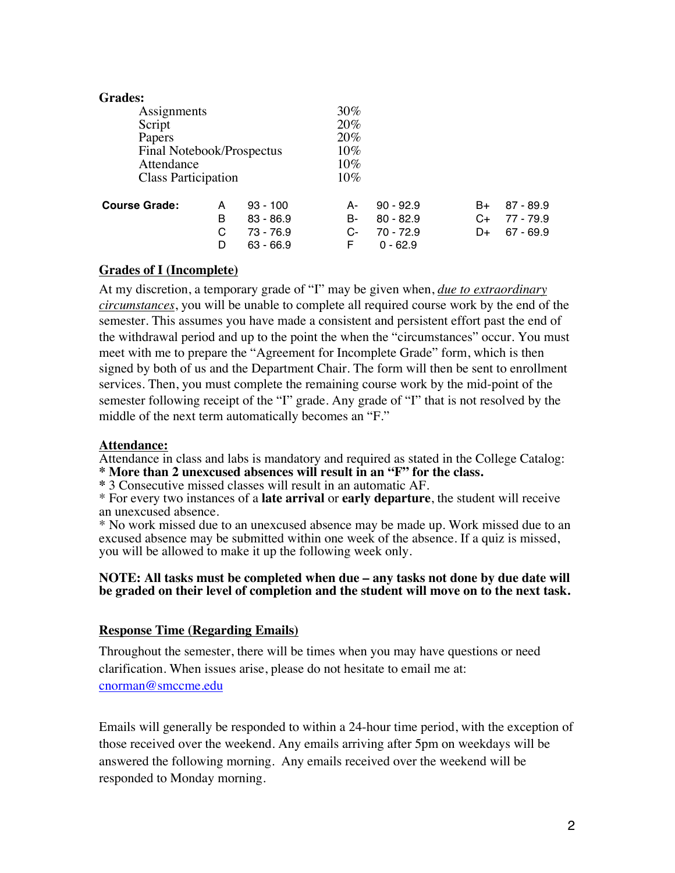| <b>Grades:</b>             |   |             |        |             |    |             |
|----------------------------|---|-------------|--------|-------------|----|-------------|
| Assignments                |   |             | 30%    |             |    |             |
| Script                     |   |             | 20%    |             |    |             |
| Papers                     |   | 20%         |        |             |    |             |
| Final Notebook/Prospectus  |   | $10\%$      |        |             |    |             |
| Attendance                 |   | $10\%$      |        |             |    |             |
| <b>Class Participation</b> |   |             | $10\%$ |             |    |             |
| <b>Course Grade:</b>       | A | $93 - 100$  | А-     | $90 - 92.9$ | B+ | $87 - 89.9$ |
|                            | в | $83 - 86.9$ | B-     | $80 - 82.9$ | C+ | $77 - 79.9$ |
|                            | С | $73 - 76.9$ | C-     | $70 - 72.9$ | D+ | $67 - 69.9$ |
|                            | D | $63 - 66.9$ | F      | $0 - 62.9$  |    |             |

#### **Grades of I (Incomplete)**

At my discretion, a temporary grade of "I" may be given when, *due to extraordinary circumstances*, you will be unable to complete all required course work by the end of the semester. This assumes you have made a consistent and persistent effort past the end of the withdrawal period and up to the point the when the "circumstances" occur. You must meet with me to prepare the "Agreement for Incomplete Grade" form, which is then signed by both of us and the Department Chair. The form will then be sent to enrollment services. Then, you must complete the remaining course work by the mid-point of the semester following receipt of the "I" grade. Any grade of "I" that is not resolved by the middle of the next term automatically becomes an "F."

#### **Attendance:**

Attendance in class and labs is mandatory and required as stated in the College Catalog: **\* More than 2 unexcused absences will result in an "F" for the class.** 

**\*** 3 Consecutive missed classes will result in an automatic AF.

\* For every two instances of a **late arrival** or **early departure**, the student will receive an unexcused absence.

\* No work missed due to an unexcused absence may be made up. Work missed due to an excused absence may be submitted within one week of the absence. If a quiz is missed, you will be allowed to make it up the following week only.

#### **NOTE: All tasks must be completed when due – any tasks not done by due date will be graded on their level of completion and the student will move on to the next task.**

#### **Response Time (Regarding Emails)**

Throughout the semester, there will be times when you may have questions or need clarification. When issues arise, please do not hesitate to email me at: cnorman@smccme.edu

Emails will generally be responded to within a 24-hour time period, with the exception of those received over the weekend. Any emails arriving after 5pm on weekdays will be answered the following morning. Any emails received over the weekend will be responded to Monday morning.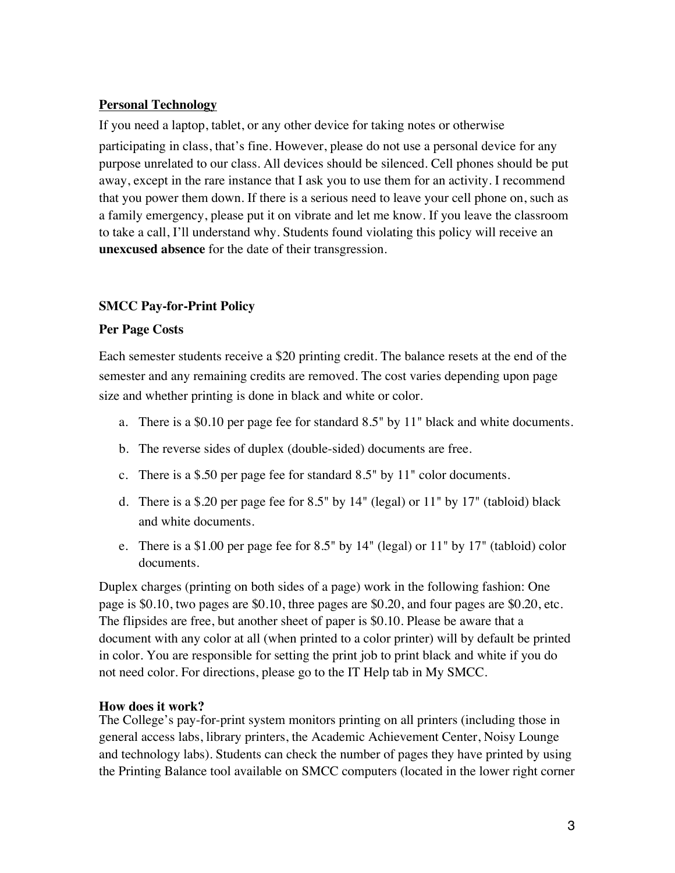### **Personal Technology**

If you need a laptop, tablet, or any other device for taking notes or otherwise participating in class, that's fine. However, please do not use a personal device for any purpose unrelated to our class. All devices should be silenced. Cell phones should be put away, except in the rare instance that I ask you to use them for an activity. I recommend that you power them down. If there is a serious need to leave your cell phone on, such as a family emergency, please put it on vibrate and let me know. If you leave the classroom to take a call, I'll understand why. Students found violating this policy will receive an **unexcused absence** for the date of their transgression.

## **SMCC Pay-for-Print Policy**

#### **Per Page Costs**

Each semester students receive a \$20 printing credit. The balance resets at the end of the semester and any remaining credits are removed. The cost varies depending upon page size and whether printing is done in black and white or color.

- a. There is a \$0.10 per page fee for standard 8.5" by 11" black and white documents.
- b. The reverse sides of duplex (double-sided) documents are free.
- c. There is a \$.50 per page fee for standard 8.5" by 11" color documents.
- d. There is a \$.20 per page fee for 8.5" by 14" (legal) or 11" by 17" (tabloid) black and white documents.
- e. There is a \$1.00 per page fee for 8.5" by 14" (legal) or 11" by 17" (tabloid) color documents.

Duplex charges (printing on both sides of a page) work in the following fashion: One page is \$0.10, two pages are \$0.10, three pages are \$0.20, and four pages are \$0.20, etc. The flipsides are free, but another sheet of paper is \$0.10. Please be aware that a document with any color at all (when printed to a color printer) will by default be printed in color. You are responsible for setting the print job to print black and white if you do not need color. For directions, please go to the IT Help tab in My SMCC.

## **How does it work?**

The College's pay-for-print system monitors printing on all printers (including those in general access labs, library printers, the Academic Achievement Center, Noisy Lounge and technology labs). Students can check the number of pages they have printed by using the Printing Balance tool available on SMCC computers (located in the lower right corner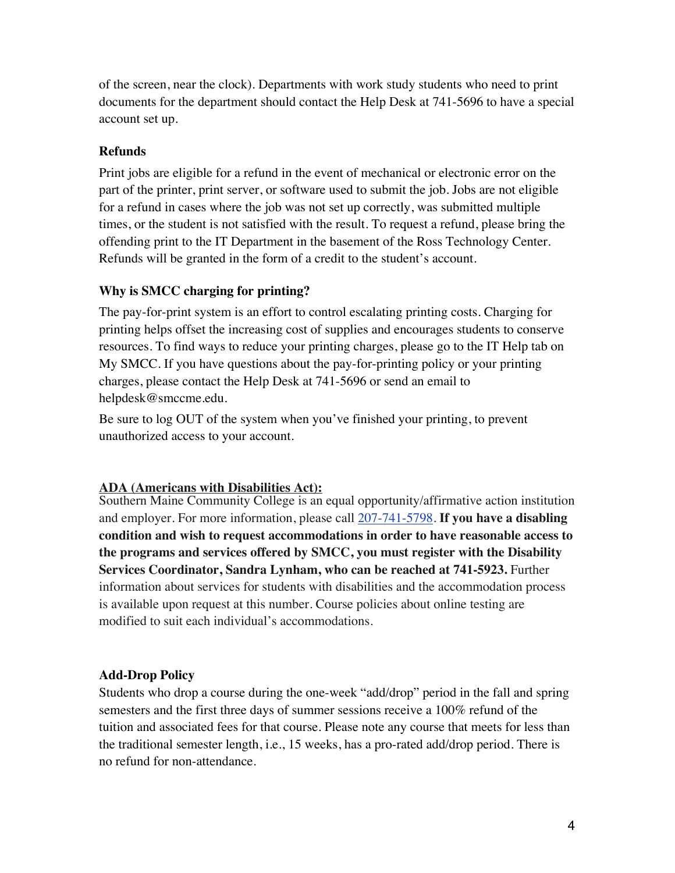of the screen, near the clock). Departments with work study students who need to print documents for the department should contact the Help Desk at 741-5696 to have a special account set up.

# **Refunds**

Print jobs are eligible for a refund in the event of mechanical or electronic error on the part of the printer, print server, or software used to submit the job. Jobs are not eligible for a refund in cases where the job was not set up correctly, was submitted multiple times, or the student is not satisfied with the result. To request a refund, please bring the offending print to the IT Department in the basement of the Ross Technology Center. Refunds will be granted in the form of a credit to the student's account.

# **Why is SMCC charging for printing?**

The pay-for-print system is an effort to control escalating printing costs. Charging for printing helps offset the increasing cost of supplies and encourages students to conserve resources. To find ways to reduce your printing charges, please go to the IT Help tab on My SMCC. If you have questions about the pay-for-printing policy or your printing charges, please contact the Help Desk at 741-5696 or send an email to helpdesk@smccme.edu.

Be sure to log OUT of the system when you've finished your printing, to prevent unauthorized access to your account.

# **ADA (Americans with Disabilities Act):**

Southern Maine Community College is an equal opportunity/affirmative action institution and employer. For more information, please call 207-741-5798. **If you have a disabling condition and wish to request accommodations in order to have reasonable access to the programs and services offered by SMCC, you must register with the Disability Services Coordinator, Sandra Lynham, who can be reached at 741-5923.** Further information about services for students with disabilities and the accommodation process is available upon request at this number. Course policies about online testing are modified to suit each individual's accommodations.

# **Add-Drop Policy**

Students who drop a course during the one-week "add/drop" period in the fall and spring semesters and the first three days of summer sessions receive a 100% refund of the tuition and associated fees for that course. Please note any course that meets for less than the traditional semester length, i.e., 15 weeks, has a pro-rated add/drop period. There is no refund for non-attendance.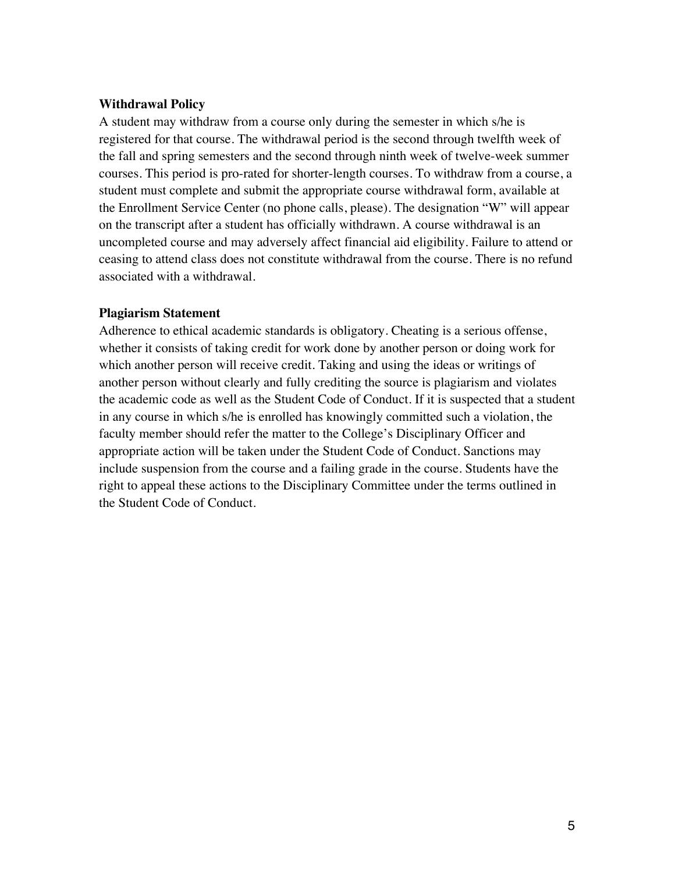#### **Withdrawal Policy**

A student may withdraw from a course only during the semester in which s/he is registered for that course. The withdrawal period is the second through twelfth week of the fall and spring semesters and the second through ninth week of twelve-week summer courses. This period is pro-rated for shorter-length courses. To withdraw from a course, a student must complete and submit the appropriate course withdrawal form, available at the Enrollment Service Center (no phone calls, please). The designation "W" will appear on the transcript after a student has officially withdrawn. A course withdrawal is an uncompleted course and may adversely affect financial aid eligibility. Failure to attend or ceasing to attend class does not constitute withdrawal from the course. There is no refund associated with a withdrawal.

#### **Plagiarism Statement**

Adherence to ethical academic standards is obligatory. Cheating is a serious offense, whether it consists of taking credit for work done by another person or doing work for which another person will receive credit. Taking and using the ideas or writings of another person without clearly and fully crediting the source is plagiarism and violates the academic code as well as the Student Code of Conduct. If it is suspected that a student in any course in which s/he is enrolled has knowingly committed such a violation, the faculty member should refer the matter to the College's Disciplinary Officer and appropriate action will be taken under the Student Code of Conduct. Sanctions may include suspension from the course and a failing grade in the course. Students have the right to appeal these actions to the Disciplinary Committee under the terms outlined in the Student Code of Conduct.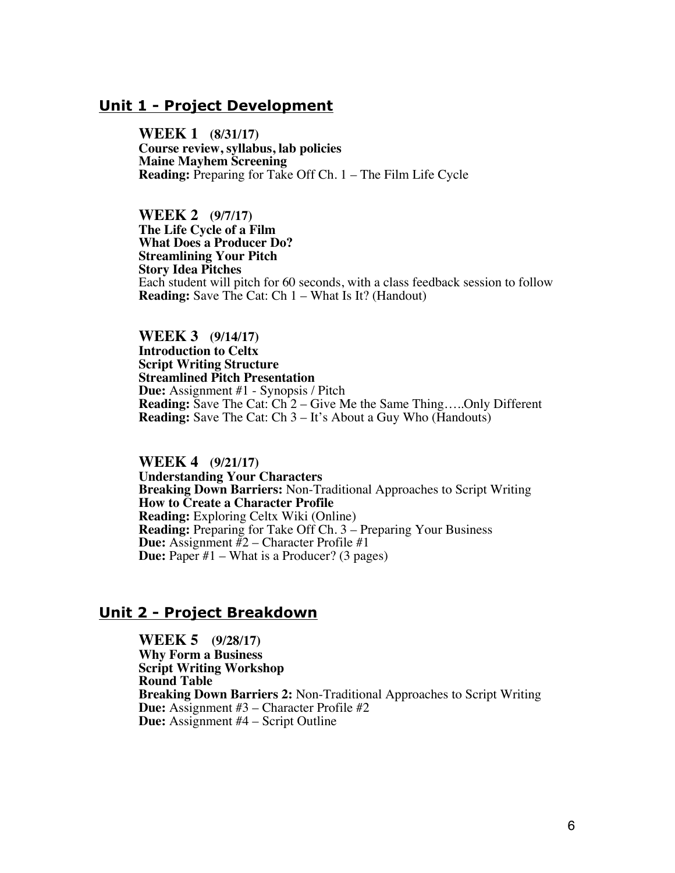# **Unit 1 - Project Development**

**WEEK 1 (8/31/17) Course review, syllabus, lab policies Maine Mayhem Screening Reading:** Preparing for Take Off Ch. 1 – The Film Life Cycle

**WEEK 2 (9/7/17) The Life Cycle of a Film What Does a Producer Do? Streamlining Your Pitch Story Idea Pitches** Each student will pitch for 60 seconds, with a class feedback session to follow **Reading:** Save The Cat: Ch 1 – What Is It? (Handout)

**WEEK 3 (9/14/17) Interpreteral Script Writing Structure<br>
Streamlined Pitch Presentation<br>
Due:** Assignment #1 - Synopsis / Pitch **Reading:** Save The Cat: Ch 2 – Give Me the Same Thing.....Only Different **Reading:** Save The Cat: Ch 3 – It's About a Guy Who (Handouts)

**WEEK 4 (9/21/17) Breaking Down Barriers:** Non-Traditional Approaches to Script Writing How to Create a Character Profile  **Reading:** Exploring Celtx Wiki (Online) **Reading:** Preparing for Take Off Ch. 3 – Preparing Your Business **Due:** Assignment #2 – Character Profile #1 **Due:** Paper #1 – What is a Producer? (3 pages)

## **Unit 2 - Project Breakdown**

 **WEEK 5 (9/28/17) Why Form a Business Script Writing Workshop Round Table Breaking Down Barriers 2:** Non-Traditional Approaches to Script Writing **Due:** Assignment #3 – Character Profile #2 **Due:** Assignment #4 – Script Outline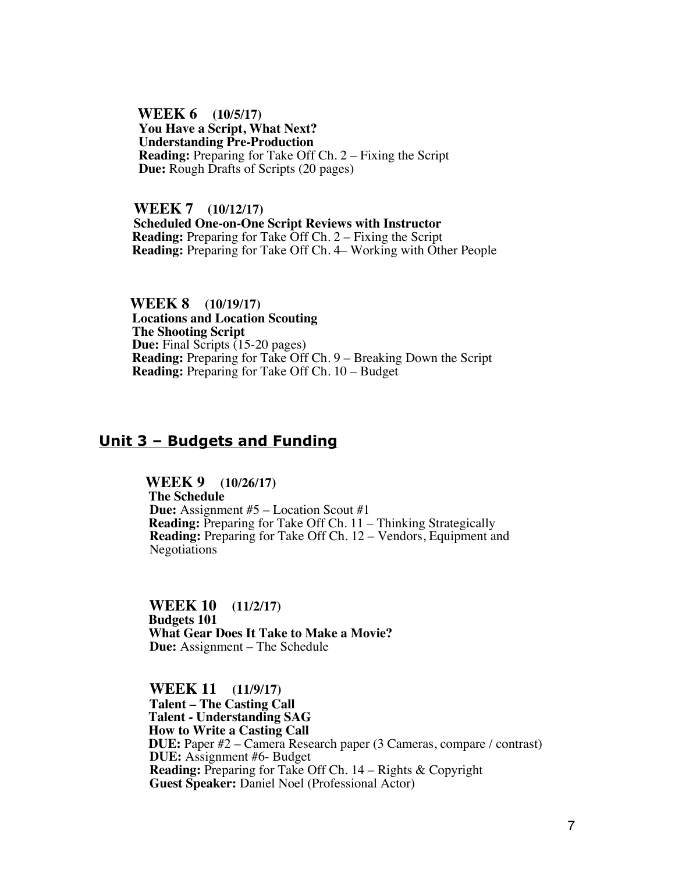**WEEK 6 (10/5/17) You Have a Script, What Next? Understanding Pre-Production Reading:** Preparing for Take Off Ch. 2 – Fixing the Script  **Due:** Rough Drafts of Scripts (20 pages)

 **WEEK 7 (10/12/17) Scheduled One-on-One Script Reviews with Instructor Reading:** Preparing for Take Off Ch. 2 – Fixing the Script  **Reading:** Preparing for Take Off Ch. 4– Working with Other People

 **WEEK 8 (10/19/17) Locations and Location Scouting The Shooting Script Due:** Final Scripts (15-20 pages)  **Reading:** Preparing for Take Off Ch. 9 – Breaking Down the Script **Reading:** Preparing for Take Off Ch. 10 – Budget

## **Unit 3 – Budgets and Funding**

 **WEEK 9 (10/26/17) The Schedule**<br>**Due:** Assignment #5 – Location Scout #1 **Reading:** Preparing for Take Off Ch. 11 – Thinking Strategically **Reading:** Preparing for Take Off Ch. 12 – Vendors, Equipment and Negotiations

 **WEEK 10 (11/2/17) Budgets 101 What Gear Does It Take to Make a Movie? Due:** Assignment – The Schedule

**WEEK 11 (11/9/17) Talent – The Casting Call Talent - Understanding SAG How to Write a Casting Call DUE:** Paper #2 – Camera Research paper (3 Cameras, compare / contrast) **DUE:** Assignment #6- Budget **Reading:** Preparing for Take Off Ch. 14 – Rights & Copyright **Guest Speaker:** Daniel Noel (Professional Actor)